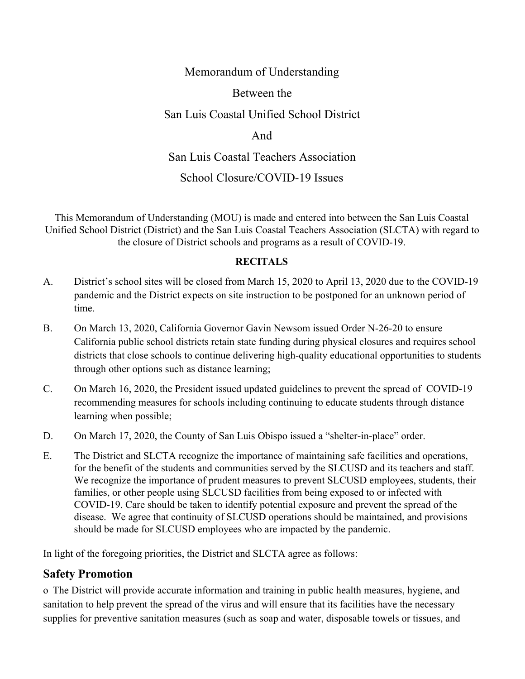#### Memorandum of Understanding

#### Between the

#### San Luis Coastal Unified School District

#### And

#### San Luis Coastal Teachers Association

### School Closure/COVID-19 Issues

This Memorandum of Understanding (MOU) is made and entered into between the San Luis Coastal Unified School District (District) and the San Luis Coastal Teachers Association (SLCTA) with regard to the closure of District schools and programs as a result of COVID-19.

#### **RECITALS**

- A. District's school sites will be closed from March 15, 2020 to April 13, 2020 due to the COVID-19 pandemic and the District expects on site instruction to be postponed for an unknown period of time.
- B. On March 13, 2020, California Governor Gavin Newsom issued Order N-26-20 to ensure California public school districts retain state funding during physical closures and requires school districts that close schools to continue delivering high-quality educational opportunities to students through other options such as distance learning;
- C. On March 16, 2020, the President issued updated guidelines to prevent the spread of COVID-19 recommending measures for schools including continuing to educate students through distance learning when possible;
- D. On March 17, 2020, the County of San Luis Obispo issued a "shelter-in-place" order.
- E. The District and SLCTA recognize the importance of maintaining safe facilities and operations, for the benefit of the students and communities served by the SLCUSD and its teachers and staff. We recognize the importance of prudent measures to prevent SLCUSD employees, students, their families, or other people using SLCUSD facilities from being exposed to or infected with COVID-19. Care should be taken to identify potential exposure and prevent the spread of the disease. We agree that continuity of SLCUSD operations should be maintained, and provisions should be made for SLCUSD employees who are impacted by the pandemic.

In light of the foregoing priorities, the District and SLCTA agree as follows:

#### **Safety Promotion**

o The District will provide accurate information and training in public health measures, hygiene, and sanitation to help prevent the spread of the virus and will ensure that its facilities have the necessary supplies for preventive sanitation measures (such as soap and water, disposable towels or tissues, and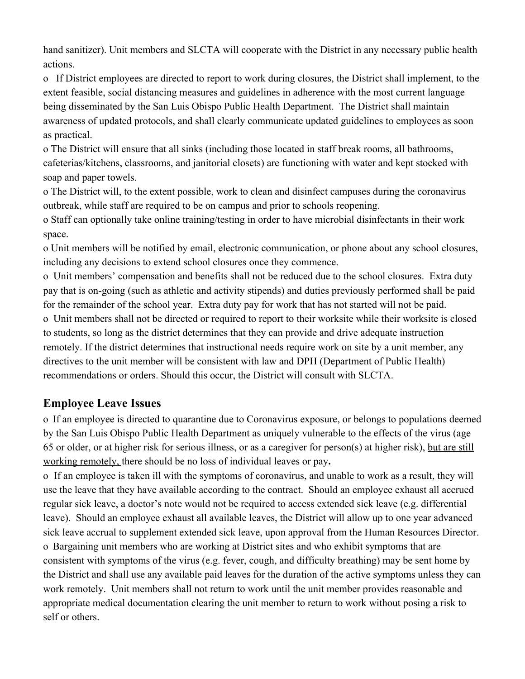hand sanitizer). Unit members and SLCTA will cooperate with the District in any necessary public health actions.

o If District employees are directed to report to work during closures, the District shall implement, to the extent feasible, social distancing measures and guidelines in adherence with the most current language being disseminated by the San Luis Obispo Public Health Department. The District shall maintain awareness of updated protocols, and shall clearly communicate updated guidelines to employees as soon as practical.

o The District will ensure that all sinks (including those located in staff break rooms, all bathrooms, cafeterias/kitchens, classrooms, and janitorial closets) are functioning with water and kept stocked with soap and paper towels.

o The District will, to the extent possible, work to clean and disinfect campuses during the coronavirus outbreak, while staff are required to be on campus and prior to schools reopening.

o Staff can optionally take online training/testing in order to have microbial disinfectants in their work space.

o Unit members will be notified by email, electronic communication, or phone about any school closures, including any decisions to extend school closures once they commence.

o Unit members' compensation and benefits shall not be reduced due to the school closures. Extra duty pay that is on-going (such as athletic and activity stipends) and duties previously performed shall be paid for the remainder of the school year. Extra duty pay for work that has not started will not be paid.

o Unit members shall not be directed or required to report to their worksite while their worksite is closed to students, so long as the district determines that they can provide and drive adequate instruction remotely. If the district determines that instructional needs require work on site by a unit member, any directives to the unit member will be consistent with law and DPH (Department of Public Health) recommendations or orders. Should this occur, the District will consult with SLCTA.

## **Employee Leave Issues**

o If an employee is directed to quarantine due to Coronavirus exposure, or belongs to populations deemed by the San Luis Obispo Public Health Department as uniquely vulnerable to the effects of the virus (age 65 or older, or at higher risk for serious illness, or as a caregiver for person(s) at higher risk), but are still working remotely, there should be no loss of individual leaves or pay**.**

o If an employee is taken ill with the symptoms of coronavirus, and unable to work as a result, they will use the leave that they have available according to the contract. Should an employee exhaust all accrued regular sick leave, a doctor's note would not be required to access extended sick leave (e.g. differential leave). Should an employee exhaust all available leaves, the District will allow up to one year advanced sick leave accrual to supplement extended sick leave, upon approval from the Human Resources Director. o Bargaining unit members who are working at District sites and who exhibit symptoms that are consistent with symptoms of the virus (e.g. fever, cough, and difficulty breathing) may be sent home by the District and shall use any available paid leaves for the duration of the active symptoms unless they can work remotely. Unit members shall not return to work until the unit member provides reasonable and appropriate medical documentation clearing the unit member to return to work without posing a risk to self or others.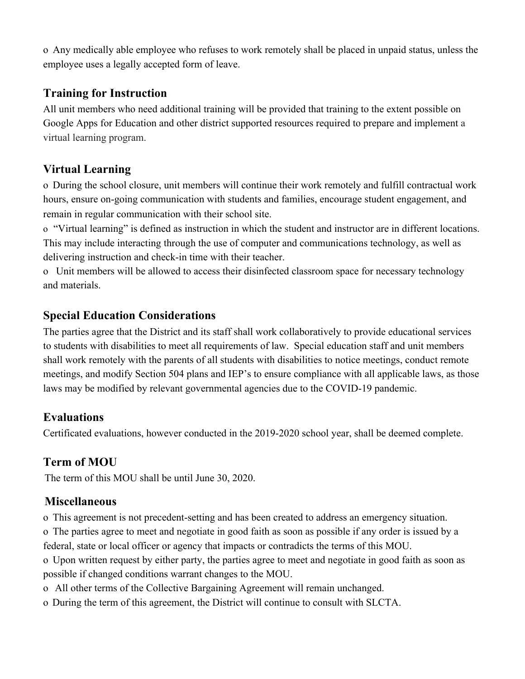o Any medically able employee who refuses to work remotely shall be placed in unpaid status, unless the employee uses a legally accepted form of leave.

# **Training for Instruction**

All unit members who need additional training will be provided that training to the extent possible on Google Apps for Education and other district supported resources required to prepare and implement a virtual learning program.

# **Virtual Learning**

o During the school closure, unit members will continue their work remotely and fulfill contractual work hours, ensure on-going communication with students and families, encourage student engagement, and remain in regular communication with their school site.

o "Virtual learning" is defined as instruction in which the student and instructor are in different locations. This may include interacting through the use of computer and communications technology, as well as delivering instruction and check-in time with their teacher.

o Unit members will be allowed to access their disinfected classroom space for necessary technology and materials.

# **Special Education Considerations**

The parties agree that the District and its staff shall work collaboratively to provide educational services to students with disabilities to meet all requirements of law. Special education staff and unit members shall work remotely with the parents of all students with disabilities to notice meetings, conduct remote meetings, and modify Section 504 plans and IEP's to ensure compliance with all applicable laws, as those laws may be modified by relevant governmental agencies due to the COVID-19 pandemic.

# **Evaluations**

Certificated evaluations, however conducted in the 2019-2020 school year, shall be deemed complete.

# **Term of MOU**

The term of this MOU shall be until June 30, 2020.

# **Miscellaneous**

o This agreement is not precedent-setting and has been created to address an emergency situation.

o The parties agree to meet and negotiate in good faith as soon as possible if any order is issued by a federal, state or local officer or agency that impacts or contradicts the terms of this MOU.

o Upon written request by either party, the parties agree to meet and negotiate in good faith as soon as possible if changed conditions warrant changes to the MOU.

- o All other terms of the Collective Bargaining Agreement will remain unchanged.
- o During the term of this agreement, the District will continue to consult with SLCTA.